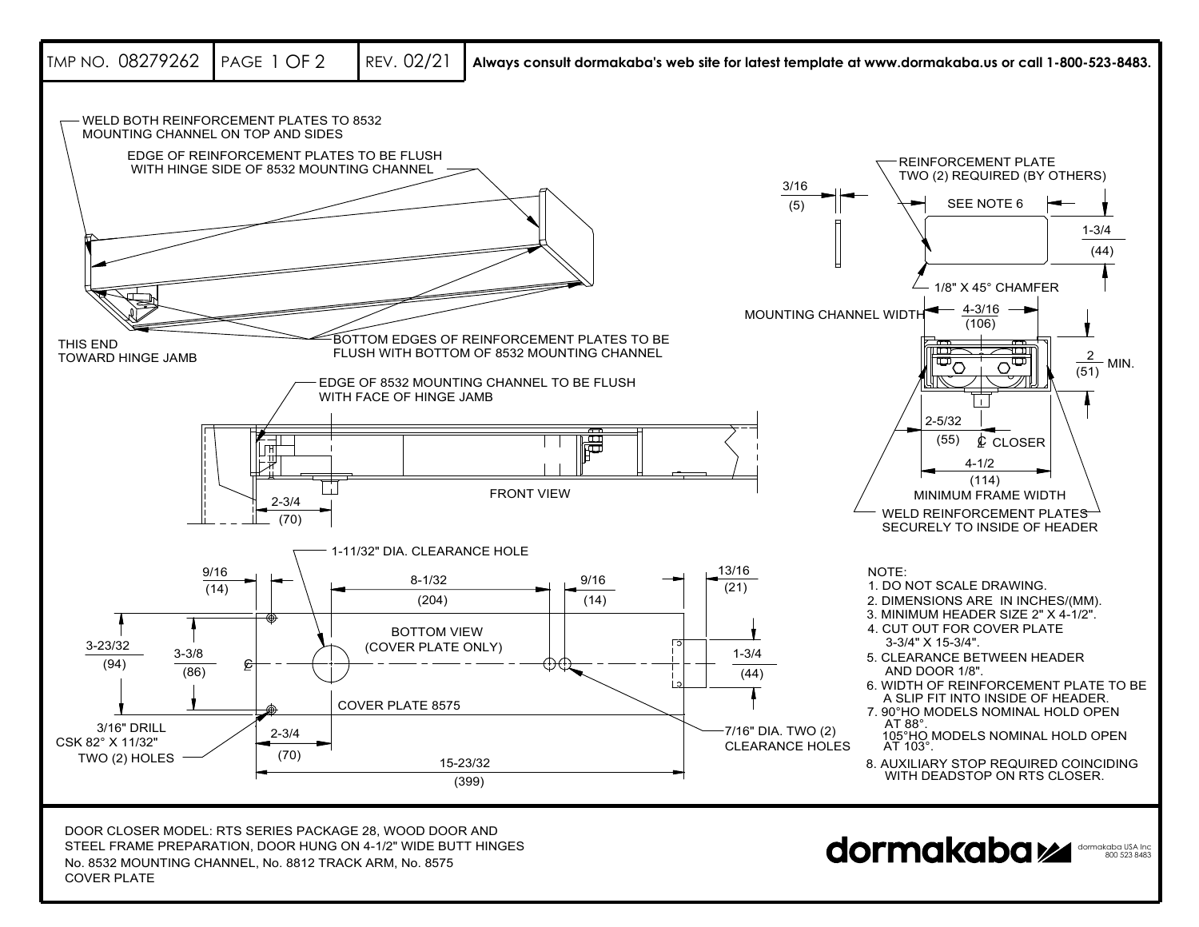